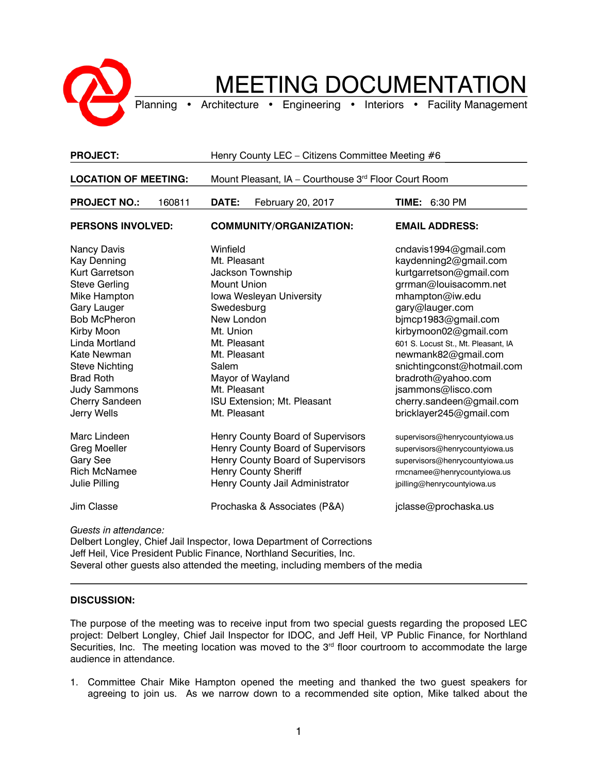

## MEETING DOCUMENTATION

Planning • Architecture • Engineering • Interiors • Facility Management

| <b>PROJECT:</b>                                                                                                                                                                                                                                                                              | Henry County LEC - Citizens Committee Meeting #6                                                                                                                                                                                                             |                                                                                                                                                                                                                                                                                                                                                                                         |
|----------------------------------------------------------------------------------------------------------------------------------------------------------------------------------------------------------------------------------------------------------------------------------------------|--------------------------------------------------------------------------------------------------------------------------------------------------------------------------------------------------------------------------------------------------------------|-----------------------------------------------------------------------------------------------------------------------------------------------------------------------------------------------------------------------------------------------------------------------------------------------------------------------------------------------------------------------------------------|
| <b>LOCATION OF MEETING:</b>                                                                                                                                                                                                                                                                  | Mount Pleasant, IA - Courthouse 3rd Floor Court Room                                                                                                                                                                                                         |                                                                                                                                                                                                                                                                                                                                                                                         |
| <b>PROJECT NO.:</b><br>160811                                                                                                                                                                                                                                                                | DATE:<br>February 20, 2017                                                                                                                                                                                                                                   | TIME:<br>6:30 PM                                                                                                                                                                                                                                                                                                                                                                        |
| <b>PERSONS INVOLVED:</b>                                                                                                                                                                                                                                                                     | <b>COMMUNITY/ORGANIZATION:</b>                                                                                                                                                                                                                               | <b>EMAIL ADDRESS:</b>                                                                                                                                                                                                                                                                                                                                                                   |
| Nancy Davis<br><b>Kay Denning</b><br>Kurt Garretson<br><b>Steve Gerling</b><br>Mike Hampton<br><b>Gary Lauger</b><br><b>Bob McPheron</b><br>Kirby Moon<br>Linda Mortland<br>Kate Newman<br><b>Steve Nichting</b><br><b>Brad Roth</b><br><b>Judy Sammons</b><br>Cherry Sandeen<br>Jerry Wells | Winfield<br>Mt. Pleasant<br>Jackson Township<br>Mount Union<br>Iowa Wesleyan University<br>Swedesburg<br>New London<br>Mt. Union<br>Mt. Pleasant<br>Mt. Pleasant<br>Salem<br>Mayor of Wayland<br>Mt. Pleasant<br>ISU Extension; Mt. Pleasant<br>Mt. Pleasant | cndavis1994@gmail.com<br>kaydenning2@gmail.com<br>kurtgarretson@gmail.com<br>grrman@louisacomm.net<br>mhampton@iw.edu<br>gary@lauger.com<br>bjmcp1983@gmail.com<br>kirbymoon02@gmail.com<br>601 S. Locust St., Mt. Pleasant, IA<br>newmank82@gmail.com<br>snichtingconst@hotmail.com<br>bradroth@yahoo.com<br>jsammons@lisco.com<br>cherry.sandeen@gmail.com<br>bricklayer245@gmail.com |
| Marc Lindeen<br><b>Greg Moeller</b><br>Gary See<br><b>Rich McNamee</b><br>Julie Pilling<br><b>Jim Classe</b>                                                                                                                                                                                 | Henry County Board of Supervisors<br>Henry County Board of Supervisors<br>Henry County Board of Supervisors<br><b>Henry County Sheriff</b><br>Henry County Jail Administrator<br>Prochaska & Associates (P&A)                                                | supervisors@henrycountyiowa.us<br>supervisors@henrycountyiowa.us<br>supervisors@henrycountyiowa.us<br>rmcnamee@henrycountyiowa.us<br>jpilling@henrycountyiowa.us<br>jclasse@prochaska.us                                                                                                                                                                                                |
| Guests in attendance:                                                                                                                                                                                                                                                                        |                                                                                                                                                                                                                                                              |                                                                                                                                                                                                                                                                                                                                                                                         |

Delbert Longley, Chief Jail Inspector, Iowa Department of Corrections Jeff Heil, Vice President Public Finance, Northland Securities, Inc. Several other guests also attended the meeting, including members of the media

## **DISCUSSION:**

The purpose of the meeting was to receive input from two special guests regarding the proposed LEC project: Delbert Longley, Chief Jail Inspector for IDOC, and Jeff Heil, VP Public Finance, for Northland Securities, Inc. The meeting location was moved to the 3<sup>rd</sup> floor courtroom to accommodate the large audience in attendance.

1. Committee Chair Mike Hampton opened the meeting and thanked the two guest speakers for agreeing to join us. As we narrow down to a recommended site option, Mike talked about the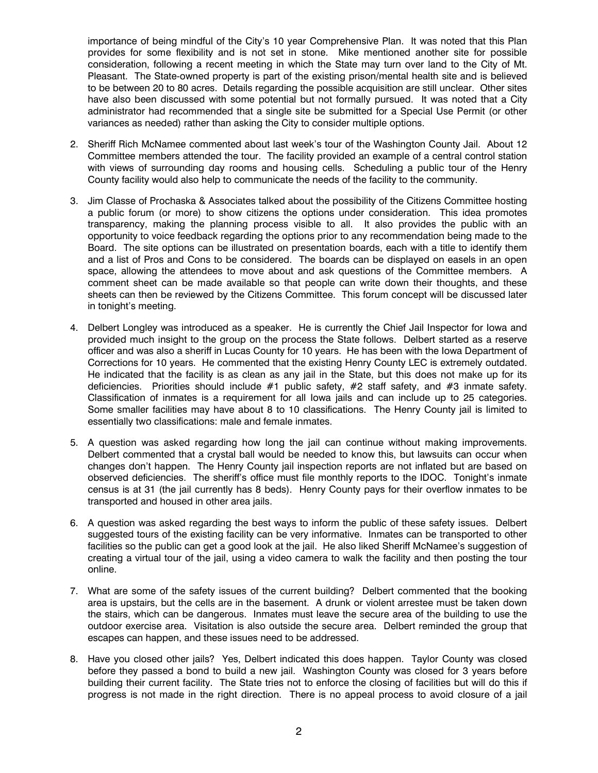importance of being mindful of the City's 10 year Comprehensive Plan. It was noted that this Plan provides for some flexibility and is not set in stone. Mike mentioned another site for possible consideration, following a recent meeting in which the State may turn over land to the City of Mt. Pleasant. The State-owned property is part of the existing prison/mental health site and is believed to be between 20 to 80 acres. Details regarding the possible acquisition are still unclear. Other sites have also been discussed with some potential but not formally pursued. It was noted that a City administrator had recommended that a single site be submitted for a Special Use Permit (or other variances as needed) rather than asking the City to consider multiple options.

- 2. Sheriff Rich McNamee commented about last week's tour of the Washington County Jail. About 12 Committee members attended the tour. The facility provided an example of a central control station with views of surrounding day rooms and housing cells. Scheduling a public tour of the Henry County facility would also help to communicate the needs of the facility to the community.
- 3. Jim Classe of Prochaska & Associates talked about the possibility of the Citizens Committee hosting a public forum (or more) to show citizens the options under consideration. This idea promotes transparency, making the planning process visible to all. It also provides the public with an opportunity to voice feedback regarding the options prior to any recommendation being made to the Board. The site options can be illustrated on presentation boards, each with a title to identify them and a list of Pros and Cons to be considered. The boards can be displayed on easels in an open space, allowing the attendees to move about and ask questions of the Committee members. A comment sheet can be made available so that people can write down their thoughts, and these sheets can then be reviewed by the Citizens Committee. This forum concept will be discussed later in tonight's meeting.
- 4. Delbert Longley was introduced as a speaker. He is currently the Chief Jail Inspector for Iowa and provided much insight to the group on the process the State follows. Delbert started as a reserve officer and was also a sheriff in Lucas County for 10 years. He has been with the Iowa Department of Corrections for 10 years. He commented that the existing Henry County LEC is extremely outdated. He indicated that the facility is as clean as any jail in the State, but this does not make up for its deficiencies. Priorities should include #1 public safety, #2 staff safety, and #3 inmate safety. Classification of inmates is a requirement for all Iowa jails and can include up to 25 categories. Some smaller facilities may have about 8 to 10 classifications. The Henry County jail is limited to essentially two classifications: male and female inmates.
- 5. A question was asked regarding how long the jail can continue without making improvements. Delbert commented that a crystal ball would be needed to know this, but lawsuits can occur when changes don't happen. The Henry County jail inspection reports are not inflated but are based on observed deficiencies. The sheriff's office must file monthly reports to the IDOC. Tonight's inmate census is at 31 (the jail currently has 8 beds). Henry County pays for their overflow inmates to be transported and housed in other area jails.
- 6. A question was asked regarding the best ways to inform the public of these safety issues. Delbert suggested tours of the existing facility can be very informative. Inmates can be transported to other facilities so the public can get a good look at the jail. He also liked Sheriff McNamee's suggestion of creating a virtual tour of the jail, using a video camera to walk the facility and then posting the tour online.
- 7. What are some of the safety issues of the current building? Delbert commented that the booking area is upstairs, but the cells are in the basement. A drunk or violent arrestee must be taken down the stairs, which can be dangerous. Inmates must leave the secure area of the building to use the outdoor exercise area. Visitation is also outside the secure area. Delbert reminded the group that escapes can happen, and these issues need to be addressed.
- 8. Have you closed other jails? Yes, Delbert indicated this does happen. Taylor County was closed before they passed a bond to build a new jail. Washington County was closed for 3 years before building their current facility. The State tries not to enforce the closing of facilities but will do this if progress is not made in the right direction. There is no appeal process to avoid closure of a jail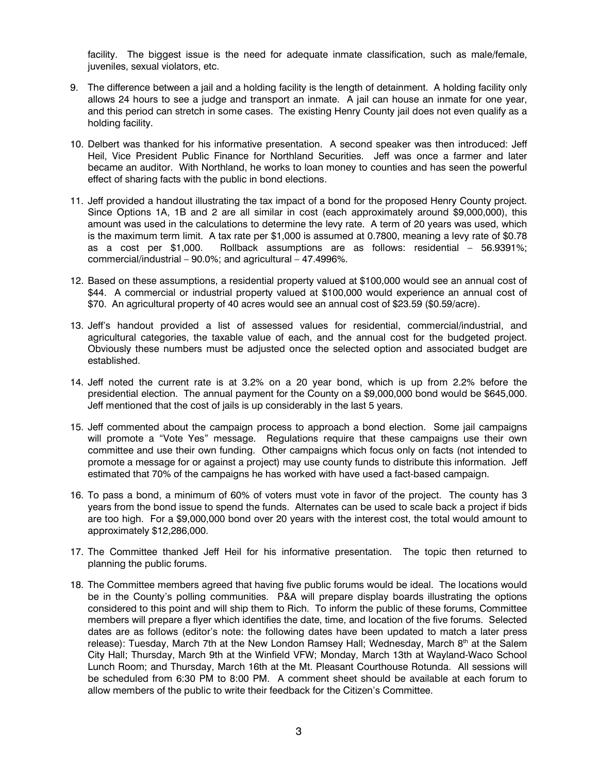facility. The biggest issue is the need for adequate inmate classification, such as male/female, juveniles, sexual violators, etc.

- 9. The difference between a jail and a holding facility is the length of detainment. A holding facility only allows 24 hours to see a judge and transport an inmate. A jail can house an inmate for one year, and this period can stretch in some cases. The existing Henry County jail does not even qualify as a holding facility.
- 10. Delbert was thanked for his informative presentation. A second speaker was then introduced: Jeff Heil, Vice President Public Finance for Northland Securities. Jeff was once a farmer and later became an auditor. With Northland, he works to loan money to counties and has seen the powerful effect of sharing facts with the public in bond elections.
- 11. Jeff provided a handout illustrating the tax impact of a bond for the proposed Henry County project. Since Options 1A, 1B and 2 are all similar in cost (each approximately around \$9,000,000), this amount was used in the calculations to determine the levy rate. A term of 20 years was used, which is the maximum term limit. A tax rate per \$1,000 is assumed at 0.7800, meaning a levy rate of \$0.78 as a cost per \$1,000. Rollback assumptions are as follows: residential – 56.9391%; commercial/industrial – 90.0%; and agricultural – 47.4996%.
- 12. Based on these assumptions, a residential property valued at \$100,000 would see an annual cost of \$44. A commercial or industrial property valued at \$100,000 would experience an annual cost of \$70. An agricultural property of 40 acres would see an annual cost of \$23.59 (\$0.59/acre).
- 13. Jeff's handout provided a list of assessed values for residential, commercial/industrial, and agricultural categories, the taxable value of each, and the annual cost for the budgeted project. Obviously these numbers must be adjusted once the selected option and associated budget are established.
- 14. Jeff noted the current rate is at 3.2% on a 20 year bond, which is up from 2.2% before the presidential election. The annual payment for the County on a \$9,000,000 bond would be \$645,000. Jeff mentioned that the cost of jails is up considerably in the last 5 years.
- 15. Jeff commented about the campaign process to approach a bond election. Some jail campaigns will promote a "Vote Yes" message. Regulations require that these campaigns use their own committee and use their own funding. Other campaigns which focus only on facts (not intended to promote a message for or against a project) may use county funds to distribute this information. Jeff estimated that 70% of the campaigns he has worked with have used a fact-based campaign.
- 16. To pass a bond, a minimum of 60% of voters must vote in favor of the project. The county has 3 years from the bond issue to spend the funds. Alternates can be used to scale back a project if bids are too high. For a \$9,000,000 bond over 20 years with the interest cost, the total would amount to approximately \$12,286,000.
- 17. The Committee thanked Jeff Heil for his informative presentation. The topic then returned to planning the public forums.
- 18. The Committee members agreed that having five public forums would be ideal. The locations would be in the County's polling communities. P&A will prepare display boards illustrating the options considered to this point and will ship them to Rich. To inform the public of these forums, Committee members will prepare a flyer which identifies the date, time, and location of the five forums. Selected dates are as follows (editor's note: the following dates have been updated to match a later press release): Tuesday, March 7th at the New London Ramsey Hall; Wednesday, March 8th at the Salem City Hall; Thursday, March 9th at the Winfield VFW; Monday, March 13th at Wayland-Waco School Lunch Room; and Thursday, March 16th at the Mt. Pleasant Courthouse Rotunda. All sessions will be scheduled from 6:30 PM to 8:00 PM. A comment sheet should be available at each forum to allow members of the public to write their feedback for the Citizen's Committee.